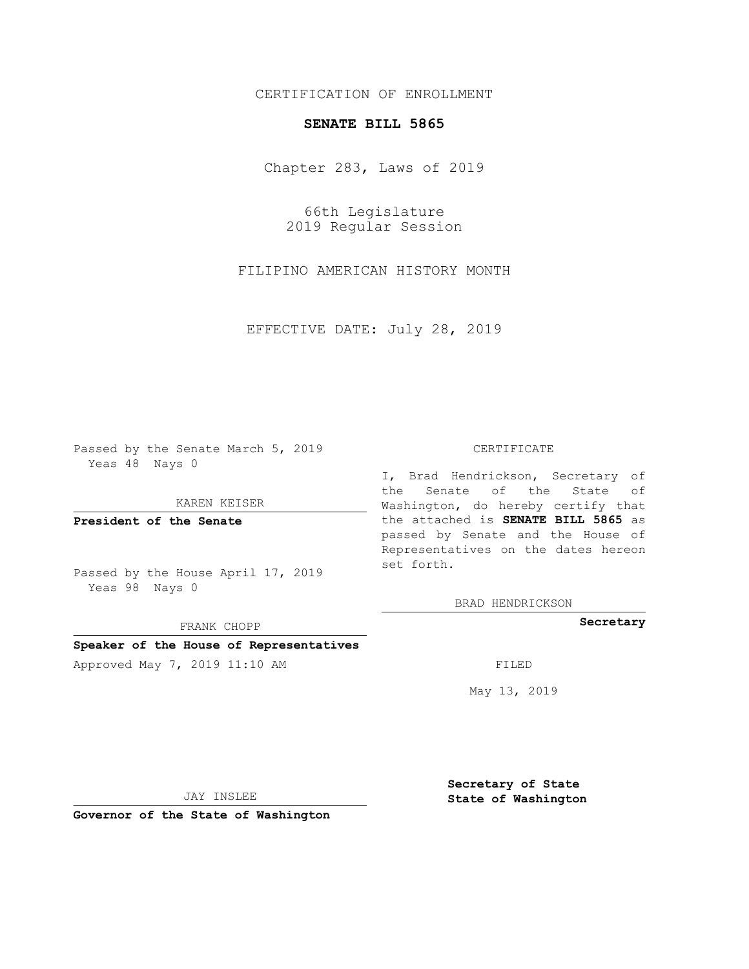## CERTIFICATION OF ENROLLMENT

## **SENATE BILL 5865**

Chapter 283, Laws of 2019

66th Legislature 2019 Regular Session

FILIPINO AMERICAN HISTORY MONTH

EFFECTIVE DATE: July 28, 2019

Passed by the Senate March 5, 2019 Yeas 48 Nays 0

KAREN KEISER

**President of the Senate**

Passed by the House April 17, 2019 Yeas 98 Nays 0

FRANK CHOPP

## **Speaker of the House of Representatives**

Approved May 7, 2019 11:10 AM FILED

#### CERTIFICATE

I, Brad Hendrickson, Secretary of the Senate of the State of Washington, do hereby certify that the attached is **SENATE BILL 5865** as passed by Senate and the House of Representatives on the dates hereon set forth.

BRAD HENDRICKSON

**Secretary**

May 13, 2019

JAY INSLEE

**Governor of the State of Washington**

**Secretary of State State of Washington**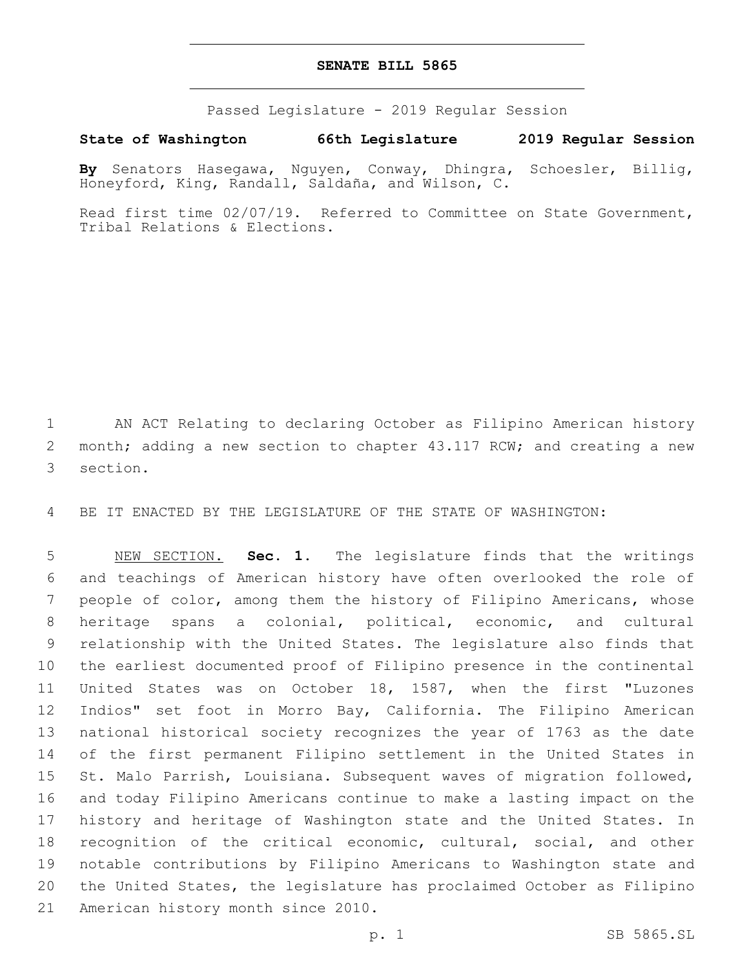## **SENATE BILL 5865**

Passed Legislature - 2019 Regular Session

# **State of Washington 66th Legislature 2019 Regular Session**

**By** Senators Hasegawa, Nguyen, Conway, Dhingra, Schoesler, Billig, Honeyford, King, Randall, Saldaña, and Wilson, C.

Read first time 02/07/19. Referred to Committee on State Government, Tribal Relations & Elections.

 AN ACT Relating to declaring October as Filipino American history 2 month; adding a new section to chapter 43.117 RCW; and creating a new 3 section.

BE IT ENACTED BY THE LEGISLATURE OF THE STATE OF WASHINGTON:

 NEW SECTION. **Sec. 1.** The legislature finds that the writings and teachings of American history have often overlooked the role of people of color, among them the history of Filipino Americans, whose heritage spans a colonial, political, economic, and cultural relationship with the United States. The legislature also finds that the earliest documented proof of Filipino presence in the continental United States was on October 18, 1587, when the first "Luzones Indios" set foot in Morro Bay, California. The Filipino American national historical society recognizes the year of 1763 as the date of the first permanent Filipino settlement in the United States in St. Malo Parrish, Louisiana. Subsequent waves of migration followed, and today Filipino Americans continue to make a lasting impact on the history and heritage of Washington state and the United States. In recognition of the critical economic, cultural, social, and other notable contributions by Filipino Americans to Washington state and the United States, the legislature has proclaimed October as Filipino American history month since 2010.